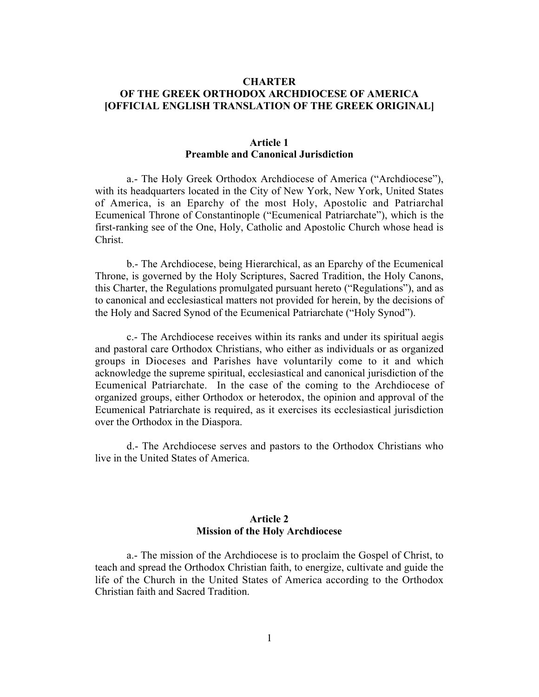# **CHARTER OF THE GREEK ORTHODOX ARCHDIOCESE OF AMERICA [OFFICIAL ENGLISH TRANSLATION OF THE GREEK ORIGINAL]**

#### **Article 1 Preamble and Canonical Jurisdiction**

a.- The Holy Greek Orthodox Archdiocese of America ("Archdiocese"), with its headquarters located in the City of New York, New York, United States of America, is an Eparchy of the most Holy, Apostolic and Patriarchal Ecumenical Throne of Constantinople ("Ecumenical Patriarchate"), which is the first-ranking see of the One, Holy, Catholic and Apostolic Church whose head is Christ.

b.- The Archdiocese, being Hierarchical, as an Eparchy of the Ecumenical Throne, is governed by the Holy Scriptures, Sacred Tradition, the Holy Canons, this Charter, the Regulations promulgated pursuant hereto ("Regulations"), and as to canonical and ecclesiastical matters not provided for herein, by the decisions of the Holy and Sacred Synod of the Ecumenical Patriarchate ("Holy Synod").

c.- The Archdiocese receives within its ranks and under its spiritual aegis and pastoral care Orthodox Christians, who either as individuals or as organized groups in Dioceses and Parishes have voluntarily come to it and which acknowledge the supreme spiritual, ecclesiastical and canonical jurisdiction of the Ecumenical Patriarchate. In the case of the coming to the Archdiocese of organized groups, either Orthodox or heterodox, the opinion and approval of the Ecumenical Patriarchate is required, as it exercises its ecclesiastical jurisdiction over the Orthodox in the Diaspora.

d.- The Archdiocese serves and pastors to the Orthodox Christians who live in the United States of America.

## **Article 2 Mission of the Holy Archdiocese**

a.- The mission of the Archdiocese is to proclaim the Gospel of Christ, to teach and spread the Orthodox Christian faith, to energize, cultivate and guide the life of the Church in the United States of America according to the Orthodox Christian faith and Sacred Tradition.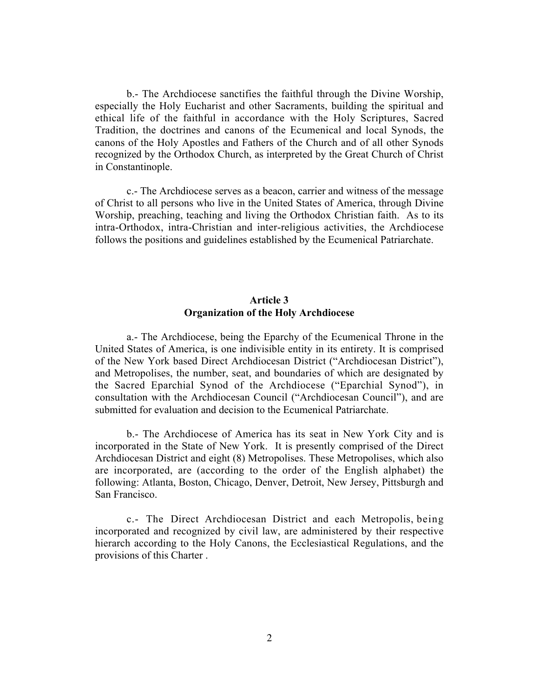b.- The Archdiocese sanctifies the faithful through the Divine Worship, especially the Holy Eucharist and other Sacraments, building the spiritual and ethical life of the faithful in accordance with the Holy Scriptures, Sacred Tradition, the doctrines and canons of the Ecumenical and local Synods, the canons of the Holy Apostles and Fathers of the Church and of all other Synods recognized by the Orthodox Church, as interpreted by the Great Church of Christ in Constantinople.

c.- The Archdiocese serves as a beacon, carrier and witness of the message of Christ to all persons who live in the United States of America, through Divine Worship, preaching, teaching and living the Orthodox Christian faith. As to its intra-Orthodox, intra-Christian and inter-religious activities, the Archdiocese follows the positions and guidelines established by the Ecumenical Patriarchate.

# **Article 3 Organization of the Holy Archdiocese**

a.- The Archdiocese, being the Eparchy of the Ecumenical Throne in the United States of America, is one indivisible entity in its entirety. It is comprised of the New York based Direct Archdiocesan District ("Archdiocesan District"), and Metropolises, the number, seat, and boundaries of which are designated by the Sacred Eparchial Synod of the Archdiocese ("Eparchial Synod"), in consultation with the Archdiocesan Council ("Archdiocesan Council"), and are submitted for evaluation and decision to the Ecumenical Patriarchate.

b.- The Archdiocese of America has its seat in New York City and is incorporated in the State of New York. It is presently comprised of the Direct Archdiocesan District and eight (8) Metropolises. These Metropolises, which also are incorporated, are (according to the order of the English alphabet) the following: Atlanta, Boston, Chicago, Denver, Detroit, New Jersey, Pittsburgh and San Francisco.

c.- The Direct Archdiocesan District and each Metropolis, being incorporated and recognized by civil law, are administered by their respective hierarch according to the Holy Canons, the Ecclesiastical Regulations, and the provisions of this Charter .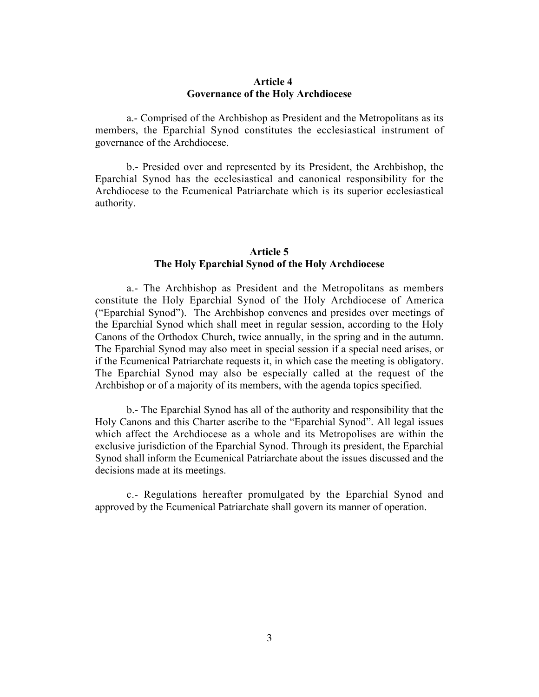#### **Article 4 Governance of the Holy Archdiocese**

a.- Comprised of the Archbishop as President and the Metropolitans as its members, the Eparchial Synod constitutes the ecclesiastical instrument of governance of the Archdiocese.

b.- Presided over and represented by its President, the Archbishop, the Eparchial Synod has the ecclesiastical and canonical responsibility for the Archdiocese to the Ecumenical Patriarchate which is its superior ecclesiastical authority.

### **Article 5 The Holy Eparchial Synod of the Holy Archdiocese**

a.- The Archbishop as President and the Metropolitans as members constitute the Holy Eparchial Synod of the Holy Archdiocese of America ("Eparchial Synod"). The Archbishop convenes and presides over meetings of the Eparchial Synod which shall meet in regular session, according to the Holy Canons of the Orthodox Church, twice annually, in the spring and in the autumn. The Eparchial Synod may also meet in special session if a special need arises, or if the Ecumenical Patriarchate requests it, in which case the meeting is obligatory. The Eparchial Synod may also be especially called at the request of the Archbishop or of a majority of its members, with the agenda topics specified.

b.- The Eparchial Synod has all of the authority and responsibility that the Holy Canons and this Charter ascribe to the "Eparchial Synod". All legal issues which affect the Archdiocese as a whole and its Metropolises are within the exclusive jurisdiction of the Eparchial Synod. Through its president, the Eparchial Synod shall inform the Ecumenical Patriarchate about the issues discussed and the decisions made at its meetings.

c.- Regulations hereafter promulgated by the Eparchial Synod and approved by the Ecumenical Patriarchate shall govern its manner of operation.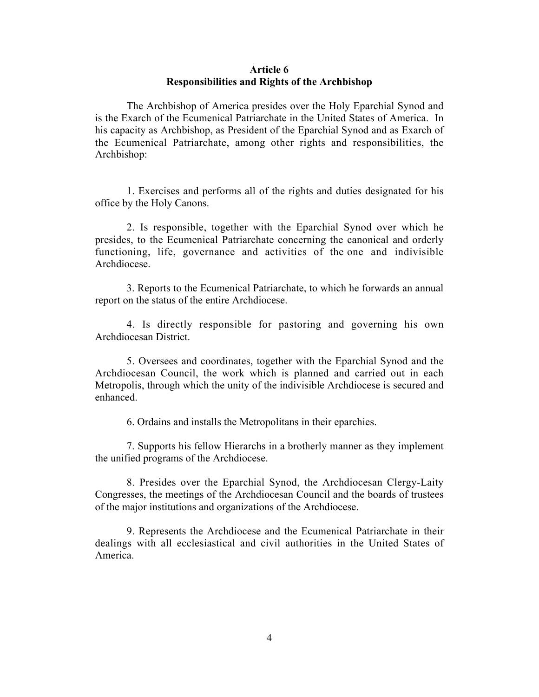#### **Article 6 Responsibilities and Rights of the Archbishop**

The Archbishop of America presides over the Holy Eparchial Synod and is the Exarch of the Ecumenical Patriarchate in the United States of America. In his capacity as Archbishop, as President of the Eparchial Synod and as Exarch of the Ecumenical Patriarchate, among other rights and responsibilities, the Archbishop:

1. Exercises and performs all of the rights and duties designated for his office by the Holy Canons.

2. Is responsible, together with the Eparchial Synod over which he presides, to the Ecumenical Patriarchate concerning the canonical and orderly functioning, life, governance and activities of the one and indivisible Archdiocese.

3. Reports to the Ecumenical Patriarchate, to which he forwards an annual report on the status of the entire Archdiocese.

4. Is directly responsible for pastoring and governing his own Archdiocesan District.

5. Oversees and coordinates, together with the Eparchial Synod and the Archdiocesan Council, the work which is planned and carried out in each Metropolis, through which the unity of the indivisible Archdiocese is secured and enhanced.

6. Ordains and installs the Metropolitans in their eparchies.

7. Supports his fellow Hierarchs in a brotherly manner as they implement the unified programs of the Archdiocese.

8. Presides over the Eparchial Synod, the Archdiocesan Clergy-Laity Congresses, the meetings of the Archdiocesan Council and the boards of trustees of the major institutions and organizations of the Archdiocese.

9. Represents the Archdiocese and the Ecumenical Patriarchate in their dealings with all ecclesiastical and civil authorities in the United States of America.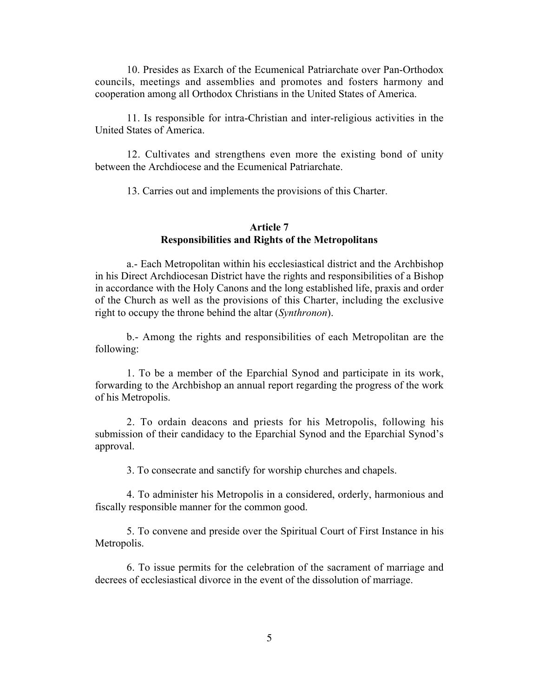10. Presides as Exarch of the Ecumenical Patriarchate over Pan-Orthodox councils, meetings and assemblies and promotes and fosters harmony and cooperation among all Orthodox Christians in the United States of America.

11. Is responsible for intra-Christian and inter-religious activities in the United States of America.

12. Cultivates and strengthens even more the existing bond of unity between the Archdiocese and the Ecumenical Patriarchate.

13. Carries out and implements the provisions of this Charter.

# **Article 7 Responsibilities and Rights of the Metropolitans**

a.- Each Metropolitan within his ecclesiastical district and the Archbishop in his Direct Archdiocesan District have the rights and responsibilities of a Bishop in accordance with the Holy Canons and the long established life, praxis and order of the Church as well as the provisions of this Charter, including the exclusive right to occupy the throne behind the altar (*Synthronon*).

b.- Among the rights and responsibilities of each Metropolitan are the following:

1. To be a member of the Eparchial Synod and participate in its work, forwarding to the Archbishop an annual report regarding the progress of the work of his Metropolis.

2. To ordain deacons and priests for his Metropolis, following his submission of their candidacy to the Eparchial Synod and the Eparchial Synod's approval.

3. To consecrate and sanctify for worship churches and chapels.

4. To administer his Metropolis in a considered, orderly, harmonious and fiscally responsible manner for the common good.

5. To convene and preside over the Spiritual Court of First Instance in his Metropolis.

6. To issue permits for the celebration of the sacrament of marriage and decrees of ecclesiastical divorce in the event of the dissolution of marriage.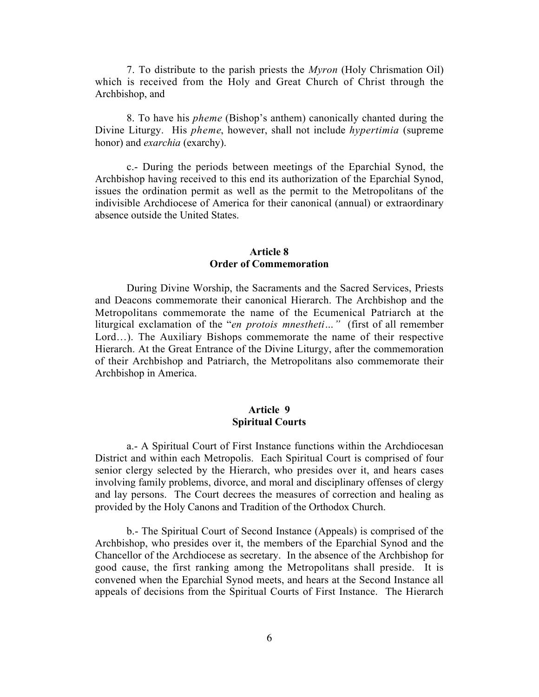7. To distribute to the parish priests the *Myron* (Holy Chrismation Oil) which is received from the Holy and Great Church of Christ through the Archbishop, and

8. To have his *pheme* (Bishop's anthem) canonically chanted during the Divine Liturgy. His *pheme*, however, shall not include *hypertimia* (supreme honor) and *exarchia* (exarchy).

c.- During the periods between meetings of the Eparchial Synod, the Archbishop having received to this end its authorization of the Eparchial Synod, issues the ordination permit as well as the permit to the Metropolitans of the indivisible Archdiocese of America for their canonical (annual) or extraordinary absence outside the United States.

## **Article 8 Order of Commemoration**

During Divine Worship, the Sacraments and the Sacred Services, Priests and Deacons commemorate their canonical Hierarch. The Archbishop and the Metropolitans commemorate the name of the Ecumenical Patriarch at the liturgical exclamation of the "*en protois mnestheti…"* (first of all remember Lord…). The Auxiliary Bishops commemorate the name of their respective Hierarch. At the Great Entrance of the Divine Liturgy, after the commemoration of their Archbishop and Patriarch, the Metropolitans also commemorate their Archbishop in America.

#### **Article 9 Spiritual Courts**

a.- A Spiritual Court of First Instance functions within the Archdiocesan District and within each Metropolis. Each Spiritual Court is comprised of four senior clergy selected by the Hierarch, who presides over it, and hears cases involving family problems, divorce, and moral and disciplinary offenses of clergy and lay persons. The Court decrees the measures of correction and healing as provided by the Holy Canons and Tradition of the Orthodox Church.

b.- The Spiritual Court of Second Instance (Appeals) is comprised of the Archbishop, who presides over it, the members of the Eparchial Synod and the Chancellor of the Archdiocese as secretary. In the absence of the Archbishop for good cause, the first ranking among the Metropolitans shall preside. It is convened when the Eparchial Synod meets, and hears at the Second Instance all appeals of decisions from the Spiritual Courts of First Instance. The Hierarch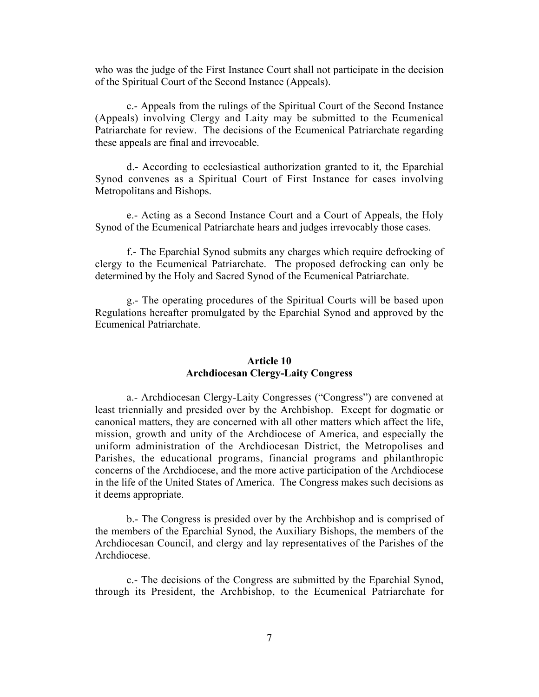who was the judge of the First Instance Court shall not participate in the decision of the Spiritual Court of the Second Instance (Appeals).

c.- Appeals from the rulings of the Spiritual Court of the Second Instance (Appeals) involving Clergy and Laity may be submitted to the Ecumenical Patriarchate for review. The decisions of the Ecumenical Patriarchate regarding these appeals are final and irrevocable.

d.- According to ecclesiastical authorization granted to it, the Eparchial Synod convenes as a Spiritual Court of First Instance for cases involving Metropolitans and Bishops.

e.- Acting as a Second Instance Court and a Court of Appeals, the Holy Synod of the Ecumenical Patriarchate hears and judges irrevocably those cases.

f.- The Eparchial Synod submits any charges which require defrocking of clergy to the Ecumenical Patriarchate. The proposed defrocking can only be determined by the Holy and Sacred Synod of the Ecumenical Patriarchate.

g.- The operating procedures of the Spiritual Courts will be based upon Regulations hereafter promulgated by the Eparchial Synod and approved by the Ecumenical Patriarchate.

# **Article 10 Archdiocesan Clergy-Laity Congress**

a.- Archdiocesan Clergy-Laity Congresses ("Congress") are convened at least triennially and presided over by the Archbishop. Except for dogmatic or canonical matters, they are concerned with all other matters which affect the life, mission, growth and unity of the Archdiocese of America, and especially the uniform administration of the Archdiocesan District, the Metropolises and Parishes, the educational programs, financial programs and philanthropic concerns of the Archdiocese, and the more active participation of the Archdiocese in the life of the United States of America. The Congress makes such decisions as it deems appropriate.

b.- The Congress is presided over by the Archbishop and is comprised of the members of the Eparchial Synod, the Auxiliary Bishops, the members of the Archdiocesan Council, and clergy and lay representatives of the Parishes of the Archdiocese.

c.- The decisions of the Congress are submitted by the Eparchial Synod, through its President, the Archbishop, to the Ecumenical Patriarchate for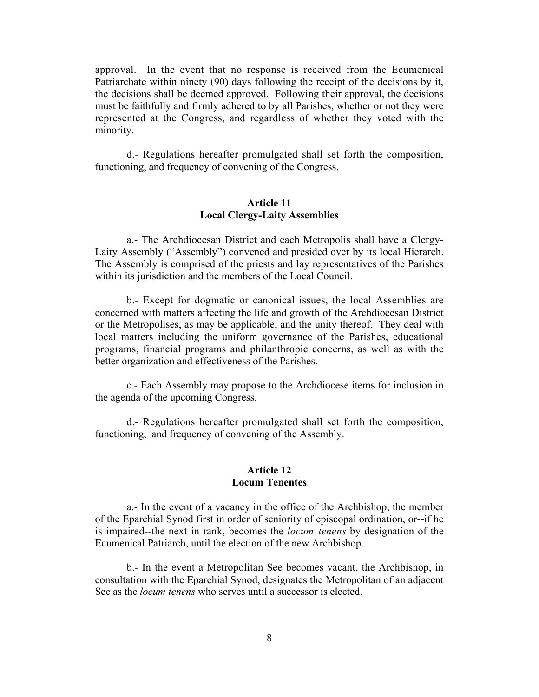approval. In the event that no response is received from the Ecumenical Patriarchate within ninety (90) days following the receipt of the decisions by it, the decisions shall be deemed approved. Following their approval, the decisions must be faithfully and firmly adhered to by all Parishes, whether or not they were represented at the Congress, and regardless of whether they voted with the minority.

d.- Regulations hereafter promulgated shall set forth the composition, functioning, and frequency of convening of the Congress.

## **Article 11 Local Clergy-Laity Assemblies**

a.- The Archdiocesan District and each Metropolis shall have a Clergy-Laity Assembly ("Assembly") convened and presided over by its local Hierarch. The Assembly is comprised of the priests and lay representatives of the Parishes within its jurisdiction and the members of the Local Council.

b.- Except for dogmatic or canonical issues, the local Assemblies are concerned with matters affecting the life and growth of the Archdiocesan District or the Metropolises, as may be applicable, and the unity thereof. They deal with local matters including the uniform governance of the Parishes, educational programs, financial programs and philanthropic concerns, as well as with the better organization and effectiveness of the Parishes.

c.- Each Assembly may propose to the Archdiocese items for inclusion in the agenda of the upcoming Congress.

d.- Regulations hereafter promulgated shall set forth the composition, functioning, and frequency of convening of the Assembly.

#### **Article 12 Locum Tenentes**

a.- In the event of a vacancy in the office of the Archbishop, the member of the Eparchial Synod first in order of seniority of episcopal ordination, or--if he is impaired--the next in rank, becomes the *locum tenens* by designation of the Ecumenical Patriarch, until the election of the new Archbishop.

b.- In the event a Metropolitan See becomes vacant, the Archbishop, in consultation with the Eparchial Synod, designates the Metropolitan of an adjacent See as the *locum tenens* who serves until a successor is elected.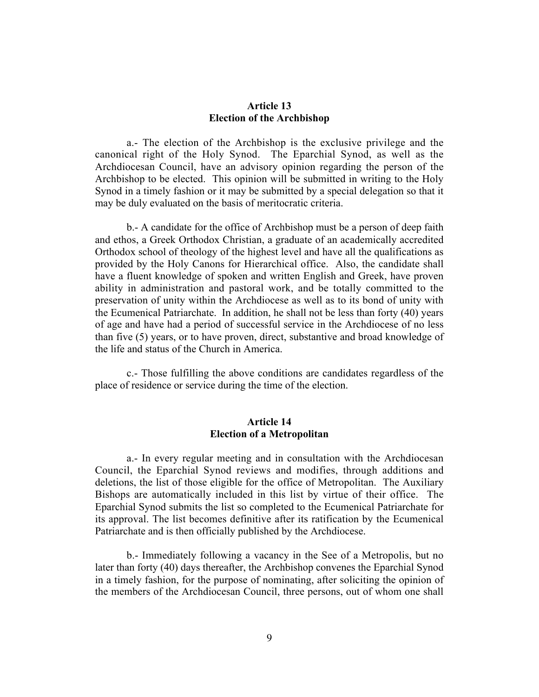## **Article 13 Election of the Archbishop**

a.- The election of the Archbishop is the exclusive privilege and the canonical right of the Holy Synod. The Eparchial Synod, as well as the Archdiocesan Council, have an advisory opinion regarding the person of the Archbishop to be elected. This opinion will be submitted in writing to the Holy Synod in a timely fashion or it may be submitted by a special delegation so that it may be duly evaluated on the basis of meritocratic criteria.

b.- A candidate for the office of Archbishop must be a person of deep faith and ethos, a Greek Orthodox Christian, a graduate of an academically accredited Orthodox school of theology of the highest level and have all the qualifications as provided by the Holy Canons for Hierarchical office. Also, the candidate shall have a fluent knowledge of spoken and written English and Greek, have proven ability in administration and pastoral work, and be totally committed to the preservation of unity within the Archdiocese as well as to its bond of unity with the Ecumenical Patriarchate. In addition, he shall not be less than forty (40) years of age and have had a period of successful service in the Archdiocese of no less than five (5) years, or to have proven, direct, substantive and broad knowledge of the life and status of the Church in America.

c.- Those fulfilling the above conditions are candidates regardless of the place of residence or service during the time of the election.

## **Article 14 Election of a Metropolitan**

a.- In every regular meeting and in consultation with the Archdiocesan Council, the Eparchial Synod reviews and modifies, through additions and deletions, the list of those eligible for the office of Metropolitan. The Auxiliary Bishops are automatically included in this list by virtue of their office. The Eparchial Synod submits the list so completed to the Ecumenical Patriarchate for its approval. The list becomes definitive after its ratification by the Ecumenical Patriarchate and is then officially published by the Archdiocese.

b.- Immediately following a vacancy in the See of a Metropolis, but no later than forty (40) days thereafter, the Archbishop convenes the Eparchial Synod in a timely fashion, for the purpose of nominating, after soliciting the opinion of the members of the Archdiocesan Council, three persons, out of whom one shall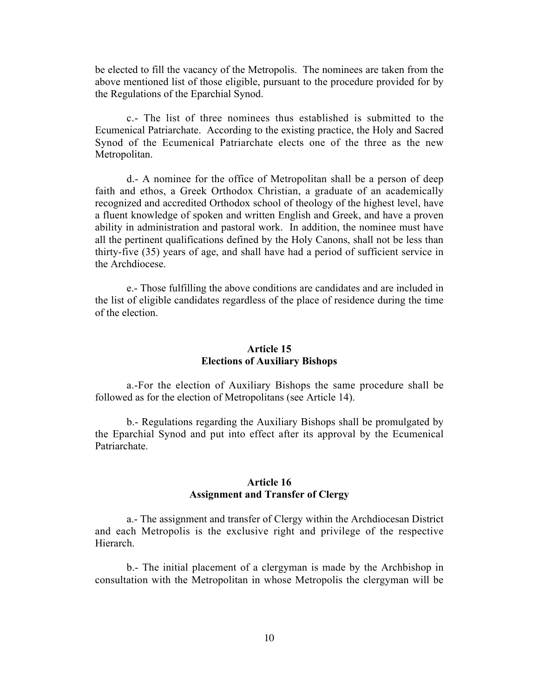be elected to fill the vacancy of the Metropolis. The nominees are taken from the above mentioned list of those eligible, pursuant to the procedure provided for by the Regulations of the Eparchial Synod.

c.- The list of three nominees thus established is submitted to the Ecumenical Patriarchate. According to the existing practice, the Holy and Sacred Synod of the Ecumenical Patriarchate elects one of the three as the new Metropolitan.

d.- A nominee for the office of Metropolitan shall be a person of deep faith and ethos, a Greek Orthodox Christian, a graduate of an academically recognized and accredited Orthodox school of theology of the highest level, have a fluent knowledge of spoken and written English and Greek, and have a proven ability in administration and pastoral work. In addition, the nominee must have all the pertinent qualifications defined by the Holy Canons, shall not be less than thirty-five (35) years of age, and shall have had a period of sufficient service in the Archdiocese.

e.- Those fulfilling the above conditions are candidates and are included in the list of eligible candidates regardless of the place of residence during the time of the election.

#### **Article 15 Elections of Auxiliary Bishops**

a.-For the election of Auxiliary Bishops the same procedure shall be followed as for the election of Metropolitans (see Article 14).

b.- Regulations regarding the Auxiliary Bishops shall be promulgated by the Eparchial Synod and put into effect after its approval by the Ecumenical Patriarchate.

# **Article 16 Assignment and Transfer of Clergy**

a.- The assignment and transfer of Clergy within the Archdiocesan District and each Metropolis is the exclusive right and privilege of the respective Hierarch.

b.- The initial placement of a clergyman is made by the Archbishop in consultation with the Metropolitan in whose Metropolis the clergyman will be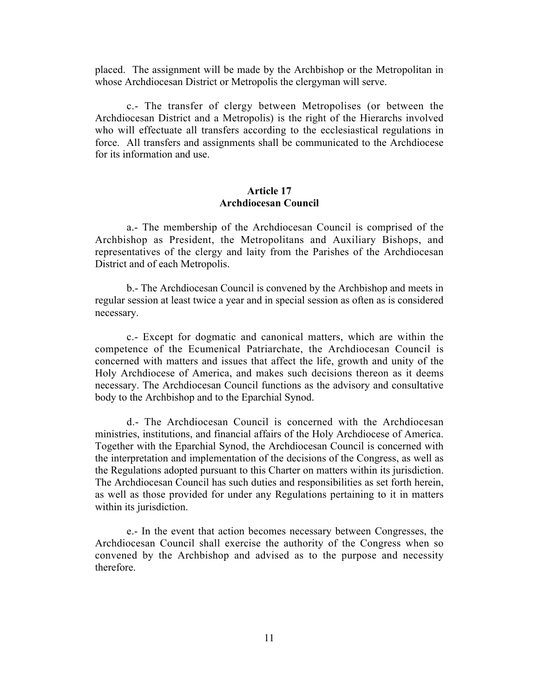placed. The assignment will be made by the Archbishop or the Metropolitan in whose Archdiocesan District or Metropolis the clergyman will serve.

c.- The transfer of clergy between Metropolises (or between the Archdiocesan District and a Metropolis) is the right of the Hierarchs involved who will effectuate all transfers according to the ecclesiastical regulations in force. All transfers and assignments shall be communicated to the Archdiocese for its information and use.

## **Article 17 Archdiocesan Council**

a.- The membership of the Archdiocesan Council is comprised of the Archbishop as President, the Metropolitans and Auxiliary Bishops, and representatives of the clergy and laity from the Parishes of the Archdiocesan District and of each Metropolis.

b.- The Archdiocesan Council is convened by the Archbishop and meets in regular session at least twice a year and in special session as often as is considered necessary.

c.- Except for dogmatic and canonical matters, which are within the competence of the Ecumenical Patriarchate, the Archdiocesan Council is concerned with matters and issues that affect the life, growth and unity of the Holy Archdiocese of America, and makes such decisions thereon as it deems necessary. The Archdiocesan Council functions as the advisory and consultative body to the Archbishop and to the Eparchial Synod.

d.- The Archdiocesan Council is concerned with the Archdiocesan ministries, institutions, and financial affairs of the Holy Archdiocese of America. Together with the Eparchial Synod, the Archdiocesan Council is concerned with the interpretation and implementation of the decisions of the Congress, as well as the Regulations adopted pursuant to this Charter on matters within its jurisdiction. The Archdiocesan Council has such duties and responsibilities as set forth herein, as well as those provided for under any Regulations pertaining to it in matters within its jurisdiction.

e.- In the event that action becomes necessary between Congresses, the Archdiocesan Council shall exercise the authority of the Congress when so convened by the Archbishop and advised as to the purpose and necessity therefore.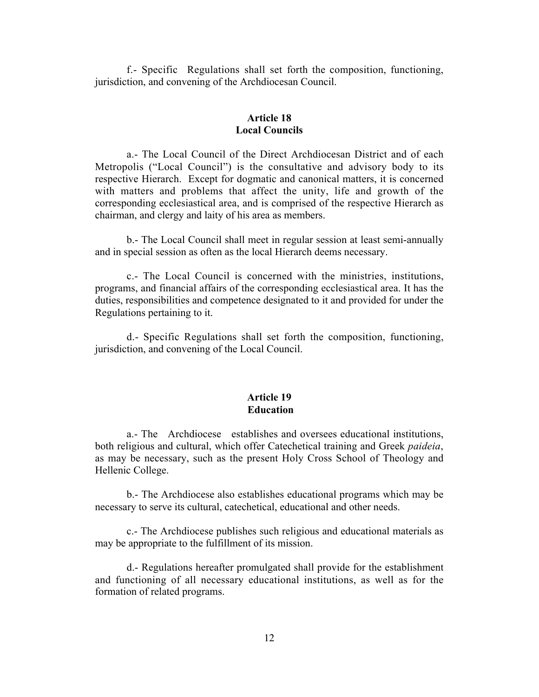f.- Specific Regulations shall set forth the composition, functioning, jurisdiction, and convening of the Archdiocesan Council.

## **Article 18 Local Councils**

a.- The Local Council of the Direct Archdiocesan District and of each Metropolis ("Local Council") is the consultative and advisory body to its respective Hierarch. Except for dogmatic and canonical matters, it is concerned with matters and problems that affect the unity, life and growth of the corresponding ecclesiastical area, and is comprised of the respective Hierarch as chairman, and clergy and laity of his area as members.

b.- The Local Council shall meet in regular session at least semi-annually and in special session as often as the local Hierarch deems necessary.

c.- The Local Council is concerned with the ministries, institutions, programs, and financial affairs of the corresponding ecclesiastical area. It has the duties, responsibilities and competence designated to it and provided for under the Regulations pertaining to it.

d.- Specific Regulations shall set forth the composition, functioning, jurisdiction, and convening of the Local Council.

## **Article 19 Education**

a.- The Archdiocese establishes and oversees educational institutions, both religious and cultural, which offer Catechetical training and Greek *paideia*, as may be necessary, such as the present Holy Cross School of Theology and Hellenic College.

b.- The Archdiocese also establishes educational programs which may be necessary to serve its cultural, catechetical, educational and other needs.

c.- The Archdiocese publishes such religious and educational materials as may be appropriate to the fulfillment of its mission.

d.- Regulations hereafter promulgated shall provide for the establishment and functioning of all necessary educational institutions, as well as for the formation of related programs.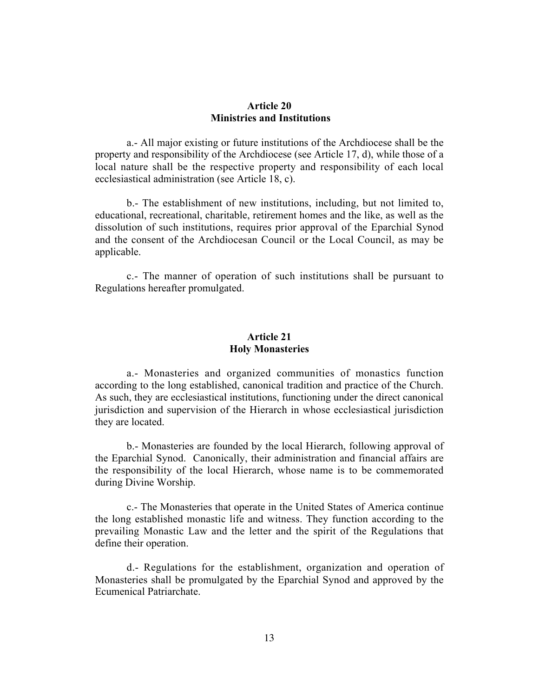#### **Article 20 Ministries and Institutions**

a.- All major existing or future institutions of the Archdiocese shall be the property and responsibility of the Archdiocese (see Article 17, d), while those of a local nature shall be the respective property and responsibility of each local ecclesiastical administration (see Article 18, c).

b.- The establishment of new institutions, including, but not limited to, educational, recreational, charitable, retirement homes and the like, as well as the dissolution of such institutions, requires prior approval of the Eparchial Synod and the consent of the Archdiocesan Council or the Local Council, as may be applicable.

c.- The manner of operation of such institutions shall be pursuant to Regulations hereafter promulgated.

#### **Article 21 Holy Monasteries**

a.- Monasteries and organized communities of monastics function according to the long established, canonical tradition and practice of the Church. As such, they are ecclesiastical institutions, functioning under the direct canonical jurisdiction and supervision of the Hierarch in whose ecclesiastical jurisdiction they are located.

b.- Monasteries are founded by the local Hierarch, following approval of the Eparchial Synod. Canonically, their administration and financial affairs are the responsibility of the local Hierarch, whose name is to be commemorated during Divine Worship.

c.- The Monasteries that operate in the United States of America continue the long established monastic life and witness. They function according to the prevailing Monastic Law and the letter and the spirit of the Regulations that define their operation.

d.- Regulations for the establishment, organization and operation of Monasteries shall be promulgated by the Eparchial Synod and approved by the Ecumenical Patriarchate.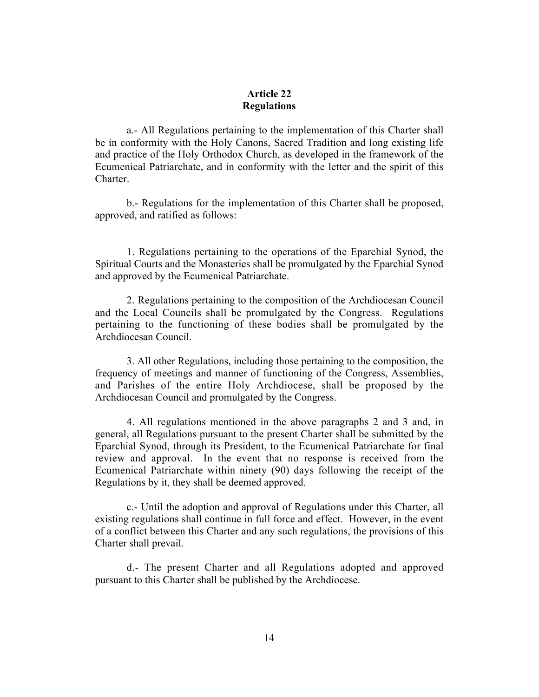### **Article 22 Regulations**

a.- All Regulations pertaining to the implementation of this Charter shall be in conformity with the Holy Canons, Sacred Tradition and long existing life and practice of the Holy Orthodox Church, as developed in the framework of the Ecumenical Patriarchate, and in conformity with the letter and the spirit of this Charter.

b.- Regulations for the implementation of this Charter shall be proposed, approved, and ratified as follows:

1. Regulations pertaining to the operations of the Eparchial Synod, the Spiritual Courts and the Monasteries shall be promulgated by the Eparchial Synod and approved by the Ecumenical Patriarchate.

2. Regulations pertaining to the composition of the Archdiocesan Council and the Local Councils shall be promulgated by the Congress. Regulations pertaining to the functioning of these bodies shall be promulgated by the Archdiocesan Council.

3. All other Regulations, including those pertaining to the composition, the frequency of meetings and manner of functioning of the Congress, Assemblies, and Parishes of the entire Holy Archdiocese, shall be proposed by the Archdiocesan Council and promulgated by the Congress.

4. All regulations mentioned in the above paragraphs 2 and 3 and, in general, all Regulations pursuant to the present Charter shall be submitted by the Eparchial Synod, through its President, to the Ecumenical Patriarchate for final review and approval. In the event that no response is received from the Ecumenical Patriarchate within ninety (90) days following the receipt of the Regulations by it, they shall be deemed approved.

c.- Until the adoption and approval of Regulations under this Charter, all existing regulations shall continue in full force and effect. However, in the event of a conflict between this Charter and any such regulations, the provisions of this Charter shall prevail.

d.- The present Charter and all Regulations adopted and approved pursuant to this Charter shall be published by the Archdiocese.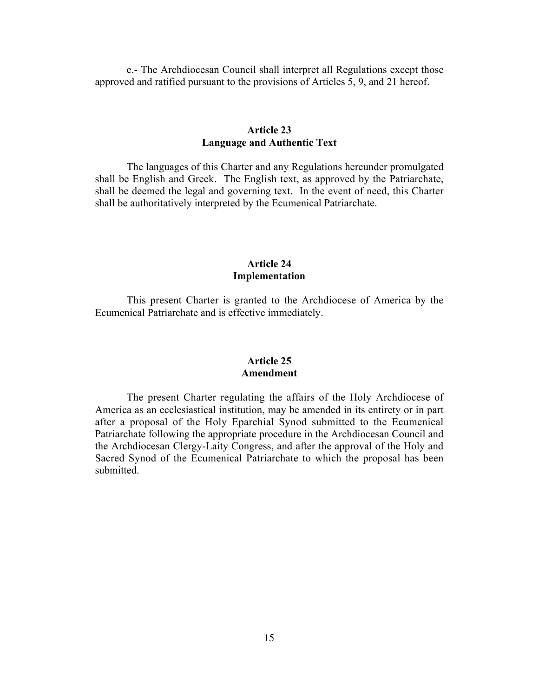e.- The Archdiocesan Council shall interpret all Regulations except those approved and ratified pursuant to the provisions of Articles 5, 9, and 21 hereof.

# **Article 23 Language and Authentic Text**

The languages of this Charter and any Regulations hereunder promulgated shall be English and Greek. The English text, as approved by the Patriarchate, shall be deemed the legal and governing text. In the event of need, this Charter shall be authoritatively interpreted by the Ecumenical Patriarchate.

## **Article 24 Implementation**

This present Charter is granted to the Archdiocese of America by the Ecumenical Patriarchate and is effective immediately.

#### **Article 25 Amendment**

The present Charter regulating the affairs of the Holy Archdiocese of America as an ecclesiastical institution, may be amended in its entirety or in part after a proposal of the Holy Eparchial Synod submitted to the Ecumenical Patriarchate following the appropriate procedure in the Archdiocesan Council and the Archdiocesan Clergy-Laity Congress, and after the approval of the Holy and Sacred Synod of the Ecumenical Patriarchate to which the proposal has been submitted.